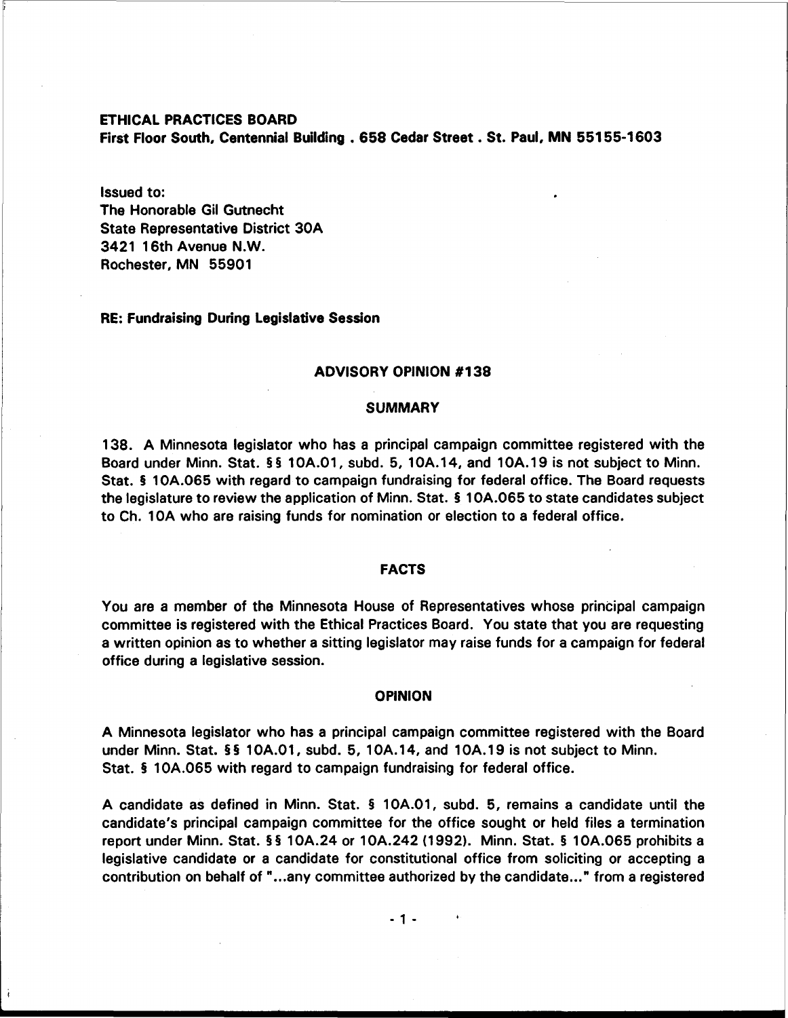#### ETHICAL PRACTICES BOARD

First Floor South, Centennial Building . **658** Cedar Street . St. Paul, MN **551 55-1** <sup>603</sup>

#### Issued to:

The Honorable Gil Gutnecht State Representative District 30A 3421 16th Avenue N.W. Rochester, MN 55901

## RE: Fundraising During Legislative Session

# ADVISORY OPINION **#I38**

#### **SUMMARY**

138. A Minnesota legislator who has a principal campaign committee registered with the Board under Minn. Stat. §§ 10A.01, subd. 5, 10A.14, and 10A.19 is not subject to Minn. Stat. § 10A.065 with regard to campaign fundraising for federal office. The Board requests the legislature to review the application of Minn. Stat. § 1 OA.065 to state candidates subject to Ch. 10A who are raising funds for nomination or election to a federal office.

## FACTS

You are a member of the Minnesota House of Representatives whose principal campaign committee is registered with the Ethical Practices Board. You state that you are requesting a written opinion as to whether a sitting legislator may raise funds for a campaign for federal office during a legislative session.

#### OPINION

A Minnesota legislator who has a principal campaign committee registered with the Board under Minn. Stat. §§ 10A.01, subd. 5, 10A.14, and 10A.19 is not subject to Minn. Stat. § 10A.065 with regard to campaign fundraising for federal office.

A candidate as defined in Minn. Stat. § 10A.O1, subd. 5, remains a candidate until the candidate's principal campaign committee for the office sought or held files a termination report under Minn. Stat. **5** 5 10A.24 or 10A.242 (1 992). Minn. Stat. **5** 10A.065 prohibits a legislative candidate or a candidate for constitutional office from soliciting or accepting a contribution on behalf of "...any committee authorized by the candidate ..." from a registered

 $-1 -$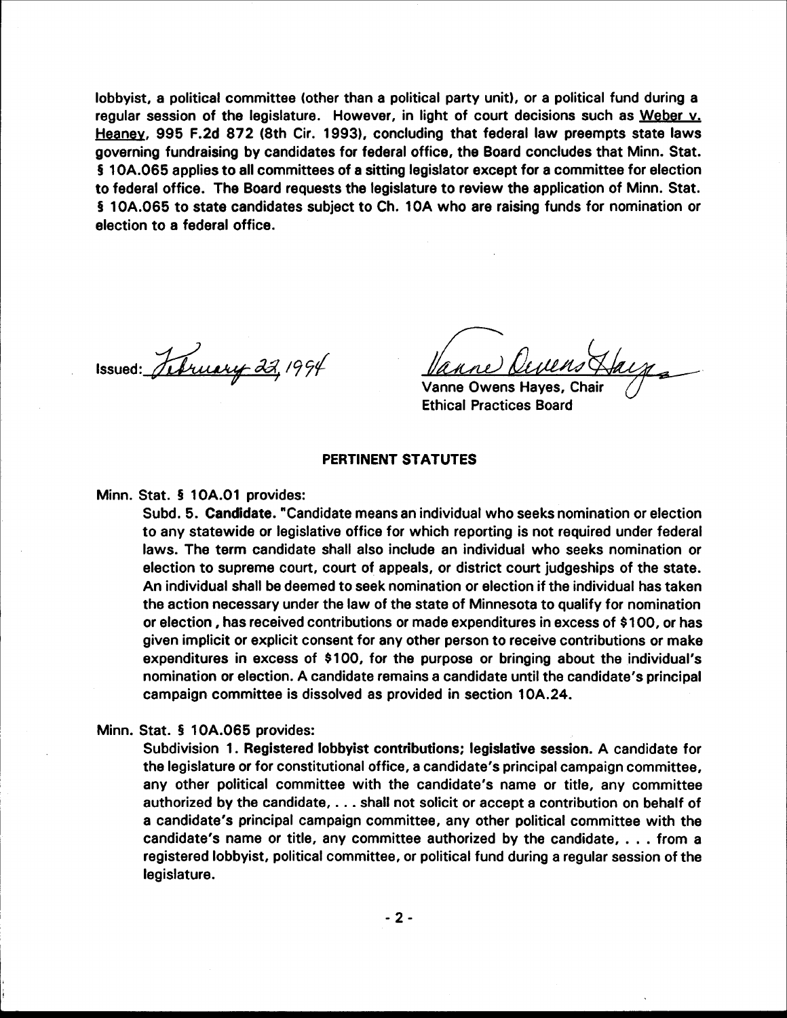lobbyist, a political committee (other than a political party unit), or a political fund during a regular session of the legislature. However, in light of court decisions such as Weber v. Heaney, 995 F.2d 872 (8th Cir. 1993), concluding that federal law preempts state laws governing fundraising by candidates for federal office, the Board concludes that Minn. Stat. § 10A.065 applies to all committees of a sitting legislator except for a committee for election to federal office. The Board requests the legislature to review the application of Minn. Stat. § 10A.065 to state candidates subject to Ch. 10A who are raising funds for nomination or election to a federal office.

Issued: Sebruary 22, 1994

Vanne Owens Hayes, Chair **Ethical Practices Board** 

# PERTINENT STATUTES

Minn. Stat. § 10A.01 provides:

Subd. 5. Candidate. "Candidate means an individual who seeks nomination or election to any statewide or legislative office for which reporting is not required under federal laws. The term candidate shall also include an individual who seeks nomination or election to supreme court, court of appeals, or district court judgeships of the state. An individual shall be deemed to seek nomination or election if the individual has taken the action necessary under the law of the state of Minnesota to qualify for nomination or election, has received contributions or made expenditures in excess of \$100, or has given implicit or explicit consent for any other person to receive contributions or make expenditures in excess of \$100, for the purpose or bringing about the individual's nomination or election. A candidate remains a candidate until the candidate's principal campaign committee is dissolved as provided in section 10A.24.

## Minn. Stat. § 10A.065 provides:

Subdivision 1. Registered lobbyist contributions; legislative session. A candidate for the legislature or for constitutional office, a candidate's principal campaign committee. any other political committee with the candidate's name or title, any committee authorized by the candidate, . . . shall not solicit or accept a contribution on behalf of a candidate's principal campaign committee, any other political committee with the candidate's name or title, any committee authorized by the candidate, . . . from a registered lobbyist, political committee, or political fund during a regular session of the legislature.